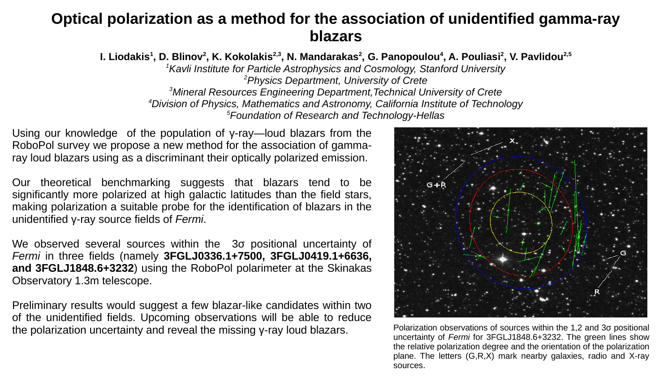# **Optical polarization as a method for the association of unidentified gamma-ray blazars**

**I. Liodakis<sup>1</sup> , D. Blinov<sup>2</sup> , K. Kokolakis2,3, N. Mandarakas<sup>2</sup> , G. Panopoulou<sup>4</sup> , A. Pouliasi<sup>2</sup> , V. Pavlidou2,5**

*<sup>1</sup>Kavli Institute for Particle Astrophysics and Cosmology, Stanford University <sup>2</sup>Physics Department, University of Crete <sup>3</sup>Mineral Resources Engineering Department,Technical University of Crete*

*<sup>4</sup>Division of Physics, Mathematics and Astronomy, California Institute of Technology*

*<sup>5</sup>Foundation of Research and Technology-Hellas*

Using our knowledge of the population of γ-ray—loud blazars from the RoboPol survey we propose a new method for the association of gammaray loud blazars using as a discriminant their optically polarized emission.

Our theoretical benchmarking suggests that blazars tend to be significantly more polarized at high galactic latitudes than the field stars, making polarization a suitable probe for the identification of blazars in the unidentified γ-ray source fields of *Fermi*.

We observed several sources within the 3σ positional uncertainty of *Fermi* in three fields (namely **3FGLJ0336.1+7500, 3FGLJ0419.1+6636, and 3FGLJ1848.6+3232**) using the RoboPol polarimeter at the Skinakas Observatory 1.3m telescope.

Preliminary results would suggest a few blazar-like candidates within two of the unidentified fields. Upcoming observations will be able to reduce the polarization uncertainty and reveal the missing γ-ray loud blazars. Polarization observations of sources within the 1,2 and 3σ positional



uncertainty of *Fermi* for 3FGLJ1848.6+3232. The green lines show the relative polarization degree and the orientation of the polarization plane. The letters (G,R,X) mark nearby galaxies, radio and X-ray sources.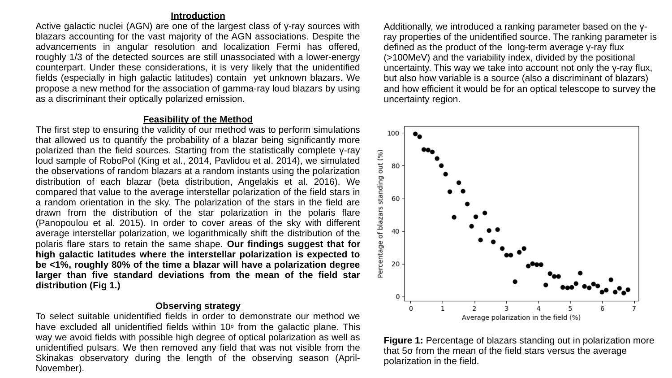## **Introduction**

Active galactic nuclei (AGN) are one of the largest class of γ-ray sources with blazars accounting for the vast majority of the AGN associations. Despite the advancements in angular resolution and localization Fermi has offered, roughly 1/3 of the detected sources are still unassociated with a lower-energy counterpart. Under these considerations, it is very likely that the unidentified fields (especially in high galactic latitudes) contain yet unknown blazars. We propose a new method for the association of gamma-ray loud blazars by using as a discriminant their optically polarized emission.

## **Feasibility of the Method**

The first step to ensuring the validity of our method was to perform simulations that allowed us to quantify the probability of a blazar being significantly more polarized than the field sources. Starting from the statistically complete γ-ray loud sample of RoboPol (King et al., 2014, Pavlidou et al. 2014), we simulated the observations of random blazars at a random instants using the polarization distribution of each blazar (beta distribution, Angelakis et al. 2016). We compared that value to the average interstellar polarization of the field stars in a random orientation in the sky. The polarization of the stars in the field are drawn from the distribution of the star polarization in the polaris flare (Panopoulou et al. 2015). In order to cover areas of the sky with different average interstellar polarization, we logarithmically shift the distribution of the polaris flare stars to retain the same shape. **Our findings suggest that for high galactic latitudes where the interstellar polarization is expected to be <1%, roughly 80% of the time a blazar will have a polarization degree larger than five standard deviations from the mean of the field star distribution (Fig 1.)**

# **Observing strategy**

To select suitable unidentified fields in order to demonstrate our method we have excluded all unidentified fields within  $10<sup>°</sup>$  from the galactic plane. This way we avoid fields with possible high degree of optical polarization as well as unidentified pulsars. We then removed any field that was not visible from the Skinakas observatory during the length of the observing season (April-November).

Additionally, we introduced a ranking parameter based on the γray properties of the unidentified source. The ranking parameter is defined as the product of the long-term average γ-ray flux (>100MeV) and the variability index, divided by the positional uncertainty. This way we take into account not only the γ-ray flux, but also how variable is a source (also a discriminant of blazars) and how efficient it would be for an optical telescope to survey the uncertainty region.



**Figure 1:** Percentage of blazars standing out in polarization more that 5σ from the mean of the field stars versus the average polarization in the field.